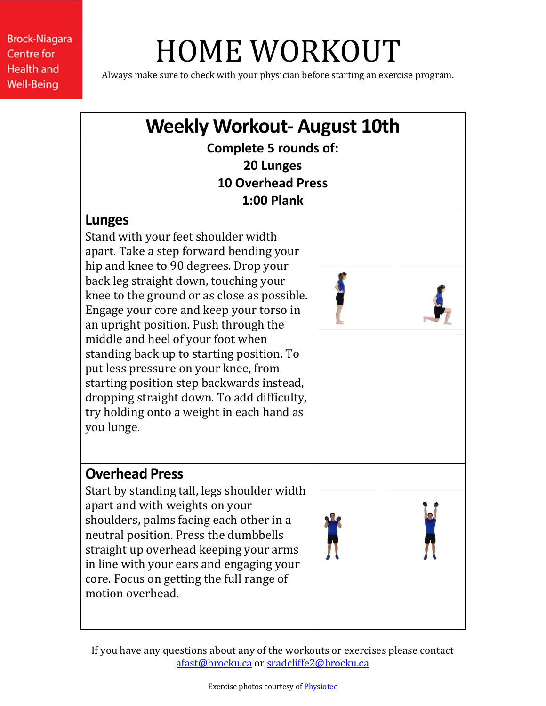**Brock-Niagara Centre for Health and Well-Being** 

## HOME WORKOUT

Always make sure to check with your physician before starting an exercise program.



If you have any questions about any of the workouts or exercises please contact [afast@brocku.ca](mailto:afast@brocku.ca) or [sradcliffe2@brocku.ca](mailto:sradcliffe2@brocku.ca)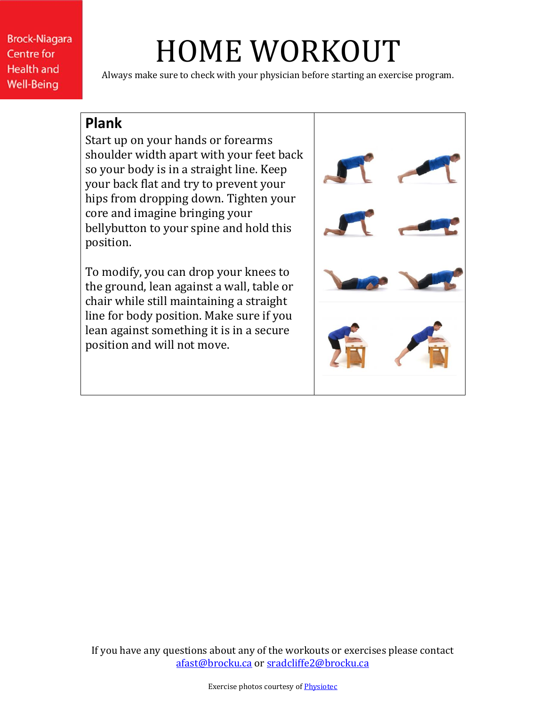**Brock-Niagara Centre for Health and Well-Being** 

## HOME WORKOUT

Always make sure to check with your physician before starting an exercise program.

## **Plank**

Start up on your hands or forearms shoulder width apart with your feet back so your body is in a straight line. Keep your back flat and try to prevent your hips from dropping down. Tighten your core and imagine bringing your bellybutton to your spine and hold this position.

To modify, you can drop your knees to the ground, lean against a wall, table or chair while still maintaining a straight line for body position. Make sure if you lean against something it is in a secure position and will not move.



If you have any questions about any of the workouts or exercises please contact [afast@brocku.ca](mailto:afast@brocku.ca) or [sradcliffe2@brocku.ca](mailto:sradcliffe2@brocku.ca)